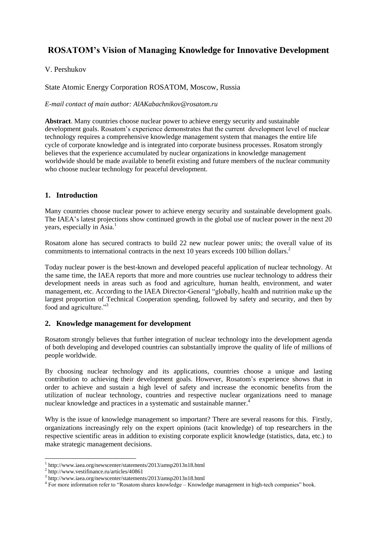# **ROSATOM's Vision of Managing Knowledge for Innovative Development**

## V. Pershukov

State Atomic Energy Corporation ROSATOM, Moscow, Russia

*E-mail contact of main author: AlAKabachnikov@rosatom.ru*

**Abstract**. Many countries choose nuclear power to achieve energy security and sustainable development goals. Rosatom's experience demonstrates that the current development level of nuclear technology requires a comprehensive knowledge management system that manages the entire life cycle of corporate knowledge and is integrated into corporate business processes. Rosatom strongly believes that the experience accumulated by nuclear organizations in knowledge management worldwide should be made available to benefit existing and future members of the nuclear community who choose nuclear technology for peaceful development.

## **1. Introduction**

Many countries choose nuclear power to achieve energy security and sustainable development goals. The IAEA's latest projections show continued growth in the global use of nuclear power in the next 20 years, especially in  $Asia.$ <sup>1</sup>

Rosatom alone has secured contracts to build 22 new nuclear power units; the overall value of its commitments to international contracts in the next 10 years exceeds 100 billion dollars.<sup>2</sup>

Today nuclear power is the best-known and developed peaceful application of nuclear technology. At the same time, the IAEA reports that more and more countries use nuclear technology to address their development needs in areas such as food and agriculture, human health, environment, and water management, etc. According to the IAEA Director-General "globally, health and nutrition make up the largest proportion of Technical Cooperation spending, followed by safety and security, and then by food and agriculture."<sup>3</sup>

#### **2. Knowledge management for development**

Rosatom strongly believes that further integration of nuclear technology into the development agenda of both developing and developed countries can substantially improve the quality of life of millions of people worldwide.

By choosing nuclear technology and its applications, countries choose a unique and lasting contribution to achieving their development goals. However, Rosatom's experience shows that in order to achieve and sustain a high level of safety and increase the economic benefits from the utilization of nuclear technology, countries and respective nuclear organizations need to manage nuclear knowledge and practices in a systematic and sustainable manner.<sup>4</sup>

Why is the issue of knowledge management so important? There are several reasons for this. Firstly, organizations increasingly rely on the expert opinions (tacit knowledge) of top researchers in the respective scientific areas in addition to existing corporate explicit knowledge (statistics, data, etc.) to make strategic management decisions.

 $\overline{\phantom{a}}$ 1 http://www.iaea.org/newscenter/statements/2013/amsp2013n18.html

<sup>2</sup> http://www.vestifinance.ru/articles/40861

<sup>3</sup> http://www.iaea.org/newscenter/statements/2013/amsp2013n18.html

<sup>&</sup>lt;sup>4</sup> For more information refer to "Rosatom shares knowledge – Knowledge management in high-tech companies" book.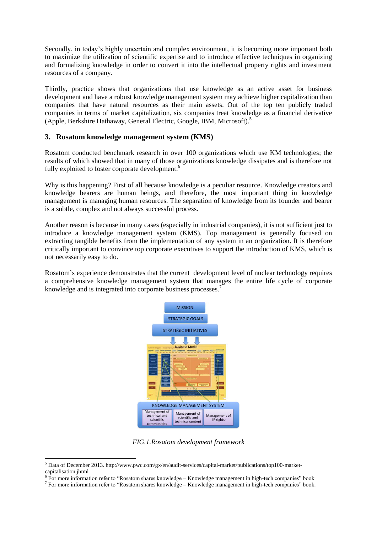Secondly, in today's highly uncertain and complex environment, it is becoming more important both to maximize the utilization of scientific expertise and to introduce effective techniques in organizing and formalizing knowledge in order to convert it into the intellectual property rights and investment resources of a company.

Thirdly, practice shows that organizations that use knowledge as an active asset for business development and have a robust knowledge management system may achieve higher capitalization than companies that have natural resources as their main assets. Out of the top ten publicly traded companies in terms of market capitalization, six companies treat knowledge as a financial derivative (Apple, Berkshire Hathaway, General Electric, Google, IBM, Microsoft).<sup>5</sup>

#### **3. Rosatom knowledge management system (KMS)**

Rosatom conducted benchmark research in over 100 organizations which use KM technologies; the results of which showed that in many of those organizations knowledge dissipates and is therefore not fully exploited to foster corporate development.<sup>6</sup>

Why is this happening? First of all because knowledge is a peculiar resource. Knowledge creators and knowledge bearers are human beings, and therefore, the most important thing in knowledge management is managing human resources. The separation of knowledge from its founder and bearer is a subtle, complex and not always successful process.

Another reason is because in many cases (especially in industrial companies), it is not sufficient just to introduce a knowledge management system (KMS). Top management is generally focused on extracting tangible benefits from the implementation of any system in an organization. It is therefore critically important to convince top corporate executives to support the introduction of KMS, which is not necessarily easy to do.

Rosatom's experience demonstrates that the current development level of nuclear technology requires a comprehensive knowledge management system that manages the entire life cycle of corporate knowledge and is integrated into corporate business processes.<sup>7</sup>



*FIG.1.Rosatom development framework*

 $\overline{\phantom{a}}$ 

<sup>5</sup> Data of December 2013. http://www.pwc.com/gx/en/audit-services/capital-market/publications/top100-marketcapitalisation.jhtml

<sup>&</sup>lt;sup>6</sup> For more information refer to "Rosatom shares knowledge – Knowledge management in high-tech companies" book.

 $^7$  For more information refer to "Rosatom shares knowledge – Knowledge management in high-tech companies" book.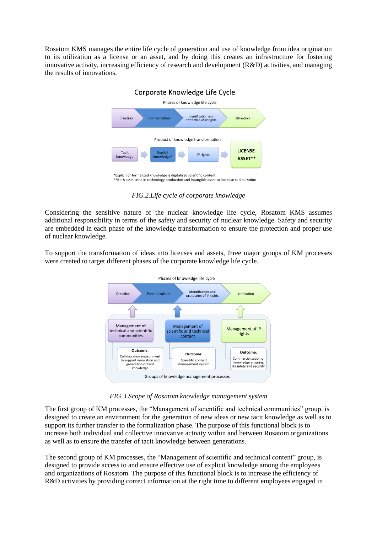Rosatom KMS manages the entire life cycle of generation and use of knowledge from idea origination to its utilization as a license or an asset, and by doing this creates an infrastructure for fostering innovative activity, increasing efficiency of research and development (R&D) activities, and managing the results of innovations.



*FIG.2.Life cycle of corporate knowledge*

Considering the sensitive nature of the nuclear knowledge life cycle, Rosatom KMS assumes additional responsibility in terms of the safety and security of nuclear knowledge. Safety and security are embedded in each phase of the knowledge transformation to ensure the protection and proper use of nuclear knowledge.

To support the transformation of ideas into licenses and assets, three major groups of KM processes were created to target different phases of the corporate knowledge life cycle.



*FIG.3.Scope of Rosatom knowledge management system*

The first group of KM processes, the "Management of scientific and technical communities" group, is designed to create an environment for the generation of new ideas or new tacit knowledge as well as to support its further transfer to the formalization phase. The purpose of this functional block is to increase both individual and collective innovative activity within and between Rosatom organizations as well as to ensure the transfer of tacit knowledge between generations.

The second group of KM processes, the "Management of scientific and technical content" group, is designed to provide access to and ensure effective use of explicit knowledge among the employees and organizations of Rosatom. The purpose of this functional block is to increase the efficiency of R&D activities by providing correct information at the right time to different employees engaged in